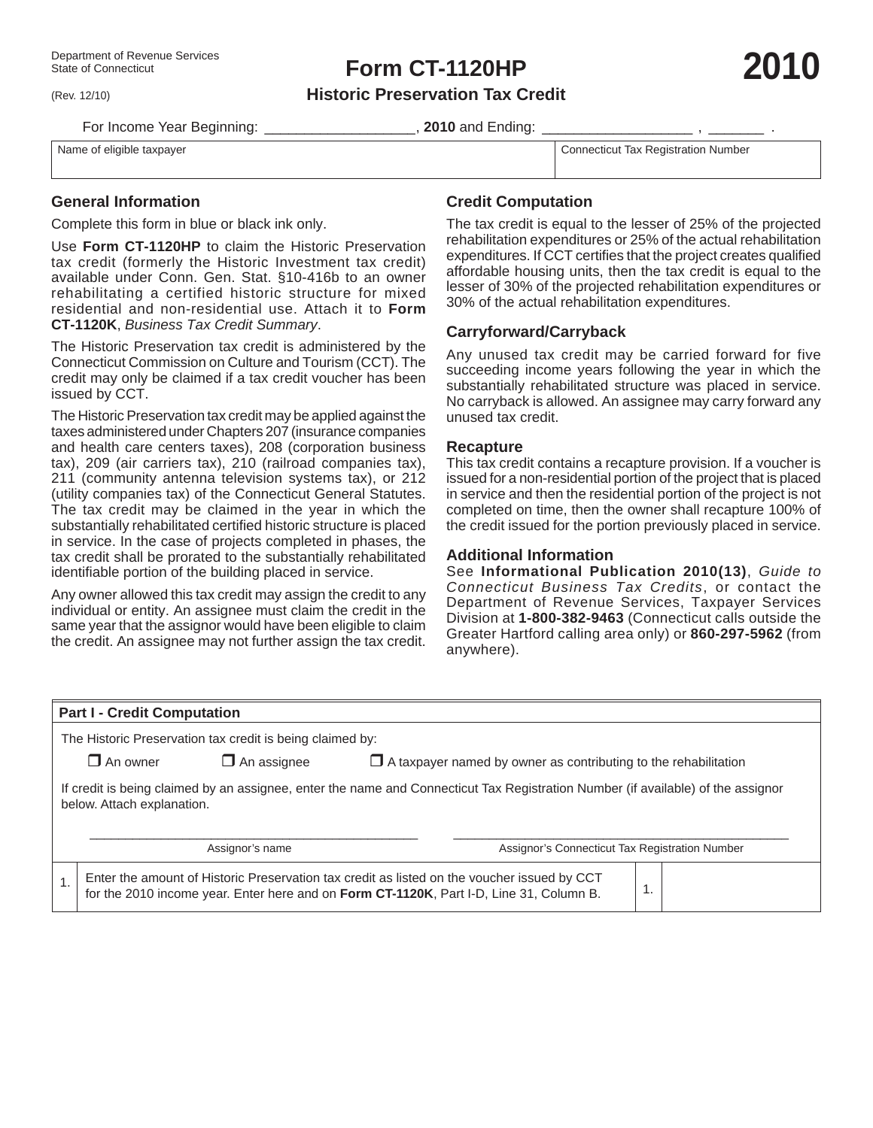(Rev. 12/10)

**Form CT-1120HP**

**2010**

**Historic Preservation Tax Credit**

For Income Year Beginning: **Example 2010** and Ending:

Name of eligible taxpayer Connecticut Tax Registration Number

**General Information**

Complete this form in blue or black ink only.

Use **Form CT-1120HP** to claim the Historic Preservation tax credit (formerly the Historic Investment tax credit) available under Conn. Gen. Stat. §10-416b to an owner rehabilitating a certified historic structure for mixed residential and non-residential use. Attach it to **Form CT-1120K**, *Business Tax Credit Summary*.

The Historic Preservation tax credit is administered by the Connecticut Commission on Culture and Tourism (CCT). The credit may only be claimed if a tax credit voucher has been issued by CCT.

The Historic Preservation tax credit may be applied against the taxes administered under Chapters 207 (insurance companies and health care centers taxes), 208 (corporation business tax), 209 (air carriers tax), 210 (railroad companies tax), 211 (community antenna television systems tax), or 212 (utility companies tax) of the Connecticut General Statutes. The tax credit may be claimed in the year in which the substantially rehabilitated certified historic structure is placed in service. In the case of projects completed in phases, the tax credit shall be prorated to the substantially rehabilitated identifiable portion of the building placed in service.

Any owner allowed this tax credit may assign the credit to any individual or entity. An assignee must claim the credit in the same year that the assignor would have been eligible to claim the credit. An assignee may not further assign the tax credit.

# **Credit Computation**

The tax credit is equal to the lesser of 25% of the projected rehabilitation expenditures or 25% of the actual rehabilitation expenditures. If CCT certifies that the project creates qualified affordable housing units, then the tax credit is equal to the lesser of 30% of the projected rehabilitation expenditures or 30% of the actual rehabilitation expenditures.

## **Carryforward/Carryback**

Any unused tax credit may be carried forward for five succeeding income years following the year in which the substantially rehabilitated structure was placed in service. No carryback is allowed. An assignee may carry forward any unused tax credit.

#### **Recapture**

This tax credit contains a recapture provision. If a voucher is issued for a non-residential portion of the project that is placed in service and then the residential portion of the project is not completed on time, then the owner shall recapture 100% of the credit issued for the portion previously placed in service.

### **Additional Information**

See **Informational Publication 2010(13)**, *Guide to Connecticut Business Tax Credits*, or contact the Department of Revenue Services, Taxpayer Services Division at **1-800-382-9463** (Connecticut calls outside the Greater Hartford calling area only) or **860-297-5962** (from anywhere).

| <b>Part I - Credit Computation</b>                                                                                                                             |                                                                                                                                                                                        |  |                                                |  |  |  |  |  |  |  |  |
|----------------------------------------------------------------------------------------------------------------------------------------------------------------|----------------------------------------------------------------------------------------------------------------------------------------------------------------------------------------|--|------------------------------------------------|--|--|--|--|--|--|--|--|
| The Historic Preservation tax credit is being claimed by:                                                                                                      |                                                                                                                                                                                        |  |                                                |  |  |  |  |  |  |  |  |
|                                                                                                                                                                | $\Box$ An owner<br>$\square$ An assignee<br>$\Box$ A taxpayer named by owner as contributing to the rehabilitation                                                                     |  |                                                |  |  |  |  |  |  |  |  |
| If credit is being claimed by an assignee, enter the name and Connecticut Tax Registration Number (if available) of the assignor<br>below. Attach explanation. |                                                                                                                                                                                        |  |                                                |  |  |  |  |  |  |  |  |
| Assignor's name                                                                                                                                                |                                                                                                                                                                                        |  | Assignor's Connecticut Tax Registration Number |  |  |  |  |  |  |  |  |
|                                                                                                                                                                | Enter the amount of Historic Preservation tax credit as listed on the voucher issued by CCT<br>for the 2010 income year. Enter here and on Form CT-1120K, Part I-D, Line 31, Column B. |  |                                                |  |  |  |  |  |  |  |  |